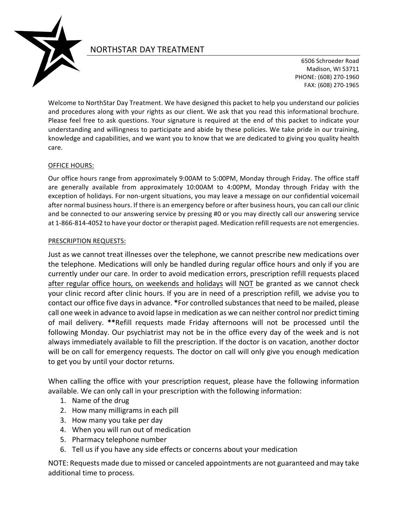

# NORTHSTAR DAY TREATMENT

6506 Schroeder Road Madison, WI 53711 PHONE: (608) 270-1960 FAX: (608) 270-1965

Welcome to NorthStar Day Treatment. We have designed this packet to help you understand our policies and procedures along with your rights as our client. We ask that you read this informational brochure. Please feel free to ask questions. Your signature is required at the end of this packet to indicate your understanding and willingness to participate and abide by these policies. We take pride in our training, knowledge and capabilities, and we want you to know that we are dedicated to giving you quality health care.

### OFFICE HOURS:

Our office hours range from approximately 9:00AM to 5:00PM, Monday through Friday. The office staff are generally available from approximately 10:00AM to 4:00PM, Monday through Friday with the exception of holidays. For non-urgent situations, you may leave a message on our confidential voicemail after normal business hours. If there is an emergency before or after business hours, you can call our clinic and be connected to our answering service by pressing #0 or you may directly call our answering service at 1-866-814-4052 to have your doctor or therapist paged. Medication refill requests are not emergencies.

### PRESCRIPTION REQUESTS:

Just as we cannot treat illnesses over the telephone, we cannot prescribe new medications over the telephone. Medications will only be handled during regular office hours and only if you are currently under our care. In order to avoid medication errors, prescription refill requests placed after regular office hours, on weekends and holidays will NOT be granted as we cannot check your clinic record after clinic hours. If you are in need of a prescription refill, we advise you to contact our office five days in advance. \*For controlled substances that need to be mailed, please call one week in advance to avoid lapse in medication as we can neither control nor predict timing of mail delivery. \*\*Refill requests made Friday afternoons will not be processed until the following Monday. Our psychiatrist may not be in the office every day of the week and is not always immediately available to fill the prescription. If the doctor is on vacation, another doctor will be on call for emergency requests. The doctor on call will only give you enough medication to get you by until your doctor returns.

When calling the office with your prescription request, please have the following information available. We can only call in your prescription with the following information:

- 1. Name of the drug
- 2. How many milligrams in each pill
- 3. How many you take per day
- 4. When you will run out of medication
- 5. Pharmacy telephone number
- 6. Tell us if you have any side effects or concerns about your medication

NOTE: Requests made due to missed or canceled appointments are not guaranteed and may take additional time to process.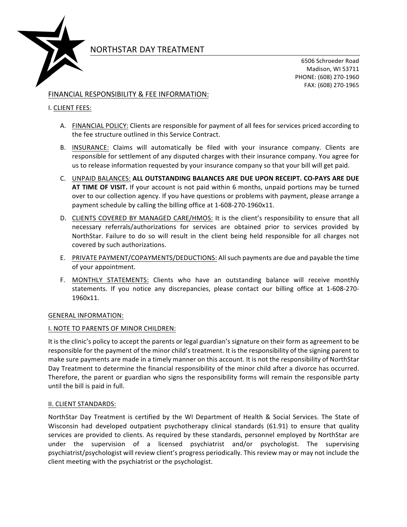

# NORTHSTAR DAY TREATMENT

6506 Schroeder Road Madison, WI 53711 PHONE: (608) 270-1960 FAX: (608) 270-1965

# FINANCIAL RESPONSIBILITY & FEE INFORMATION:

## **I. CLIENT FEES:**

- A. FINANCIAL POLICY: Clients are responsible for payment of all fees for services priced according to the fee structure outlined in this Service Contract.
- B. INSURANCE: Claims will automatically be filed with your insurance company. Clients are responsible for settlement of any disputed charges with their insurance company. You agree for us to release information requested by your insurance company so that your bill will get paid.
- C. UNPAID BALANCES: ALL OUTSTANDING BALANCES ARE DUE UPON RECEIPT. CO-PAYS ARE DUE **AT TIME OF VISIT.** If your account is not paid within 6 months, unpaid portions may be turned over to our collection agency. If you have questions or problems with payment, please arrange a payment schedule by calling the billing office at 1-608-270-1960x11.
- D. CLIENTS COVERED BY MANAGED CARE/HMOS: It is the client's responsibility to ensure that all necessary referrals/authorizations for services are obtained prior to services provided by NorthStar. Failure to do so will result in the client being held responsible for all charges not covered by such authorizations.
- E. PRIVATE PAYMENT/COPAYMENTS/DEDUCTIONS: All such payments are due and payable the time of your appointment.
- F. MONTHLY STATEMENTS: Clients who have an outstanding balance will receive monthly statements. If you notice any discrepancies, please contact our billing office at 1-608-270-1960x11.

### **GENERAL INFORMATION:**

### I. NOTE TO PARENTS OF MINOR CHILDREN:

It is the clinic's policy to accept the parents or legal guardian's signature on their form as agreement to be responsible for the payment of the minor child's treatment. It is the responsibility of the signing parent to make sure payments are made in a timely manner on this account. It is not the responsibility of NorthStar Day Treatment to determine the financial responsibility of the minor child after a divorce has occurred. Therefore, the parent or guardian who signs the responsibility forms will remain the responsible party until the bill is paid in full.

#### II. CLIENT STANDARDS:

NorthStar Day Treatment is certified by the WI Department of Health & Social Services. The State of Wisconsin had developed outpatient psychotherapy clinical standards (61.91) to ensure that quality services are provided to clients. As required by these standards, personnel employed by NorthStar are under the supervision of a licensed psychiatrist and/or psychologist. The supervising psychiatrist/psychologist will review client's progress periodically. This review may or may not include the client meeting with the psychiatrist or the psychologist.